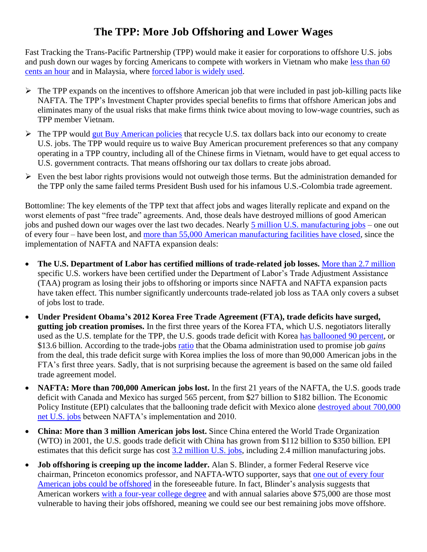## **The TPP: More Job Offshoring and Lower Wages**

Fast Tracking the Trans-Pacific Partnership (TPP) would make it easier for corporations to offshore U.S. jobs and push down our wages by forcing Americans to compete with workers in Vietnam who make [less than 60](http://www.wageindicator.org/main/salary/minimum-wage/vietnam)  [cents an hour](http://www.wageindicator.org/main/salary/minimum-wage/vietnam) and in Malaysia, where [forced labor is widely used.](http://www.verite.org/research/electronicsmalaysia)

- $\triangleright$  The TPP expands on the incentives to offshore American job that were included in past job-killing pacts like NAFTA. The TPP's Investment Chapter provides special benefits to firms that offshore American jobs and eliminates many of the usual risks that make firms think twice about moving to low-wage countries, such as TPP member Vietnam.
- $\triangleright$  The TPP would [gut Buy American policies](http://www.citizen.org/Page.aspx?pid=5414) that recycle U.S. tax dollars back into our economy to create U.S. jobs. The TPP would require us to waive Buy American procurement preferences so that any company operating in a TPP country, including all of the Chinese firms in Vietnam, would have to get equal access to U.S. government contracts. That means offshoring our tax dollars to create jobs abroad.
- $\triangleright$  Even the best labor rights provisions would not outweigh those terms. But the administration demanded for the TPP only the same failed terms President Bush used for his infamous U.S.-Colombia trade agreement.

Bottomline: The key elements of the TPP text that affect jobs and wages literally replicate and expand on the worst elements of past "free trade" agreements. And, those deals have destroyed millions of good American jobs and pushed down our wages over the last two decades. Nearly [5 million U.S. manufacturing jobs](http://www.bls.gov/ces/) – one out of every four – have been lost, and [more than 55,000 American manufacturing facilities have closed,](http://www.bls.gov/cew/datatoc.htm) since the implementation of NAFTA and NAFTA expansion deals:

- **The U.S. Department of Labor has certified millions of trade-related job losses.** [More than 2.7 million](http://www.citizen.org/taadatabase) specific U.S. workers have been certified under the Department of Labor's Trade Adjustment Assistance (TAA) program as losing their jobs to offshoring or imports since NAFTA and NAFTA expansion pacts have taken effect. This number significantly undercounts trade-related job loss as TAA only covers a subset of jobs lost to trade.
- **Under President Obama's 2012 Korea Free Trade Agreement (FTA), trade deficits have surged, gutting job creation promises.** In the first three years of the Korea FTA, which U.S. negotiators literally used as the U.S. template for the TPP, the U.S. goods trade deficit with Korea [has ballooned 90](http://www.citizen.org/documents/korea-fta-3-years.pdf) percent, or \$13.6 billion. According to the trade-jobs [ratio](http://trade.gov/publications/pdfs/exports-support-american-jobs.pdf) that the Obama administration used to promise job *gains* from the deal, this trade deficit surge with Korea implies the loss of more than 90,000 American jobs in the FTA's first three years. Sadly, that is not surprising because the agreement is based on the same old failed trade agreement model.
- **NAFTA: More than 700,000 American jobs lost.** In the first 21 years of the NAFTA, the U.S. goods trade deficit with Canada and Mexico has surged 565 percent, from \$27 billion to \$182 billion. The Economic Policy Institute (EPI) calculates that the ballooning trade deficit with Mexico alone [destroyed about 700,000](http://www.epi.org/publication/heading_south_u-s-mexico_trade_and_job_displacement_after_nafta1/) [net U.S. jobs](http://www.epi.org/publication/heading_south_u-s-mexico_trade_and_job_displacement_after_nafta1/) between NAFTA's implementation and 2010.
- **China: More than 3 million American jobs lost.** Since China entered the World Trade Organization (WTO) in 2001, the U.S. goods trade deficit with China has grown from \$112 billion to \$350 billion. EPI estimates that this deficit surge has cost [3.2 million U.S. jobs,](http://www.epi.org/publication/u-s-china-trade-deficits-cost-millions-of-jobs-with-losses-in-every-state-and-in-all-but-one-congressional-district/) including 2.4 million manufacturing jobs.
- **Job offshoring is creeping up the income ladder.** Alan S. Blinder, a former Federal Reserve vice chairman, Princeton economics professor, and NAFTA-WTO supporter, says that [one out of every four](http://voxeu.org/article/twenty-five-percent-us-jobs-are-offshorable)  [American jobs could be offshored](http://voxeu.org/article/twenty-five-percent-us-jobs-are-offshorable) in the foreseeable future. In fact, Blinder's analysis suggests that American workers [with a four-year college degree](http://www.epi.org/publication/webfeatures_viewpoints_characteristics_of_offshorable_jobs/) and with annual salaries above \$75,000 are those most vulnerable to having their jobs offshored, meaning we could see our best remaining jobs move offshore.